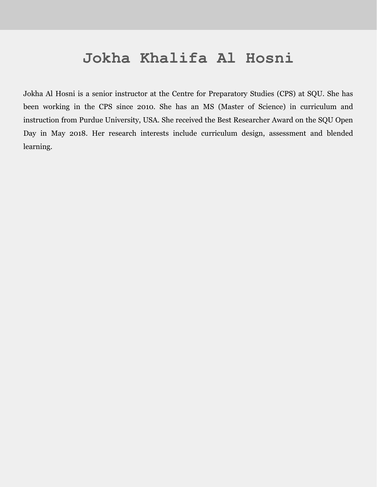## **Jokha Khalifa Al Hosni**

Jokha Al Hosni is a senior instructor at the Centre for Preparatory Studies (CPS) at SQU. She has been working in the CPS since 2010. She has an MS (Master of Science) in curriculum and instruction from Purdue University, USA. She received the Best Researcher Award on the SQU Open Day in May 2018. Her research interests include curriculum design, assessment and blended learning.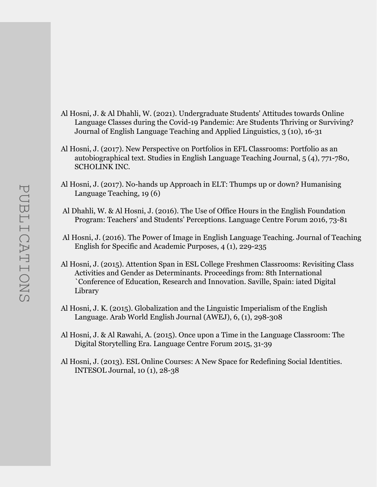- Al Hosni, J. & Al Dhahli, W. (2021). Undergraduate Students' Attitudes towards Online Language Classes during the Covid-19 Pandemic: Are Students Thriving or Surviving? Journal of English Language Teaching and Applied Linguistics, 3 (10), 16-31
- Al Hosni, J. (2017). New Perspective on Portfolios in EFL Classrooms: Portfolio as an autobiographical text. Studies in English Language Teaching Journal, 5 (4), 771-780, SCHOLINK INC.
- Al Hosni, J. (2017). No-hands up Approach in ELT: Thumps up or down? Humanising Language Teaching, 19 (6)
- Al Dhahli, W. & Al Hosni, J. (2016). The Use of Office Hours in the English Foundation Program: Teachers' and Students' Perceptions. Language Centre Forum 2016, 73-81
- Al Hosni, J. (2016). The Power of Image in English Language Teaching. Journal of Teaching English for Specific and Academic Purposes, 4 (1), 229-235
- Al Hosni, J. (2015). Attention Span in ESL College Freshmen Classrooms: Revisiting Class Activities and Gender as Determinants. Proceedings from: 8th International `Conference of Education, Research and Innovation. Saville, Spain: iated Digital Library
- Al Hosni, J. K. (2015). Globalization and the Linguistic Imperialism of the English Language. Arab World English Journal (AWEJ), 6, (1), 298-308
- Al Hosni, J. & Al Rawahi, A. (2015). Once upon a Time in the Language Classroom: The Digital Storytelling Era. Language Centre Forum 2015, 31-39
- Al Hosni, J. (2013). ESL Online Courses: A New Space for Redefining Social Identities. INTESOL Journal, 10 (1), 28-38